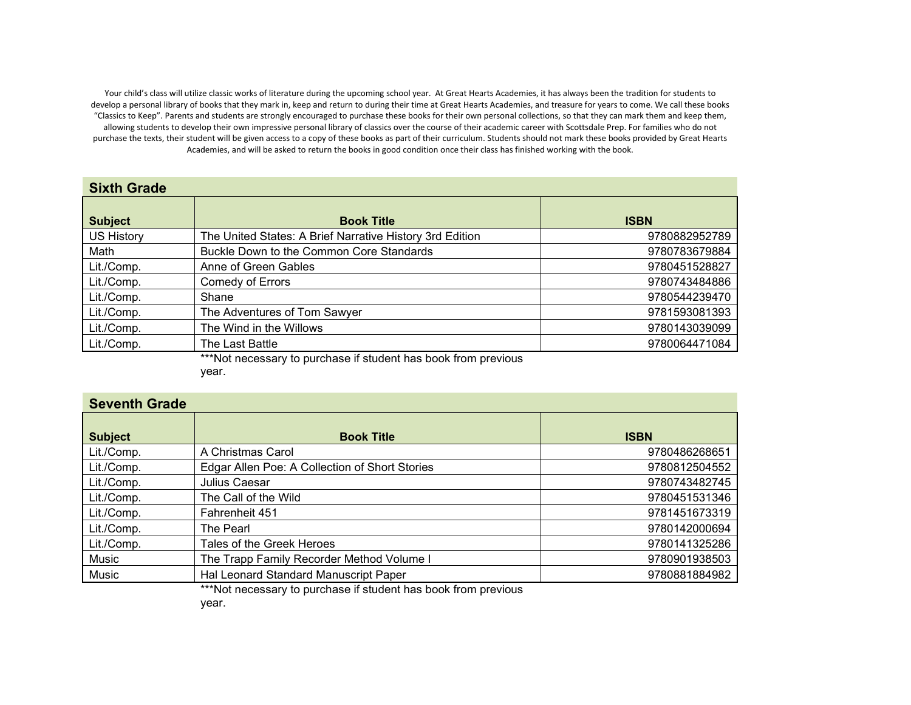Your child's class will utilize classic works of literature during the upcoming school year. At Great Hearts Academies, it has always been the tradition for students to develop a personal library of books that they mark in, keep and return to during their time at Great Hearts Academies, and treasure for years to come. We call these books "Classics to Keep". Parents and students are strongly encouraged to purchase these books for their own personal collections, so that they can mark them and keep them, allowing students to develop their own impressive personal library of classics over the course of their academic career with Scottsdale Prep. For families who do not purchase the texts, their student will be given access to a copy of these books as part of their curriculum. Students should not mark these books provided by Great Hearts Academies, and will be asked to return the books in good condition once their class has finished working with the book.

## **Sixth Grade**

| <b>Subject</b>    | <b>Book Title</b>                                              | <b>ISBN</b>   |
|-------------------|----------------------------------------------------------------|---------------|
| <b>US History</b> | The United States: A Brief Narrative History 3rd Edition       | 9780882952789 |
| Math              | Buckle Down to the Common Core Standards                       | 9780783679884 |
| Lit./Comp.        | Anne of Green Gables                                           | 9780451528827 |
| Lit./Comp.        | <b>Comedy of Errors</b>                                        | 9780743484886 |
| Lit./Comp.        | Shane                                                          | 9780544239470 |
| Lit./Comp.        | The Adventures of Tom Sawyer                                   | 9781593081393 |
| Lit./Comp.        | The Wind in the Willows                                        | 9780143039099 |
| Lit./Comp.        | The Last Battle                                                | 9780064471084 |
|                   | ***Not necessary to purchase if student has book from previous |               |

\*Not necessary to purchase if student has book from previous year.

## **Seventh Grade**

| <b>Subject</b> | <b>Book Title</b>                              | <b>ISBN</b>   |
|----------------|------------------------------------------------|---------------|
| Lit./Comp.     | A Christmas Carol                              | 9780486268651 |
| Lit./Comp.     | Edgar Allen Poe: A Collection of Short Stories | 9780812504552 |
| Lit./Comp.     | Julius Caesar                                  | 9780743482745 |
| Lit./Comp.     | The Call of the Wild                           | 9780451531346 |
| Lit./Comp.     | Fahrenheit 451                                 | 9781451673319 |
| Lit./Comp.     | The Pearl                                      | 9780142000694 |
| Lit./Comp.     | Tales of the Greek Heroes                      | 9780141325286 |
| Music          | The Trapp Family Recorder Method Volume I      | 9780901938503 |
| Music          | Hal Leonard Standard Manuscript Paper          | 9780881884982 |
|                |                                                |               |

\*\*\*Not necessary to purchase if student has book from previous

year.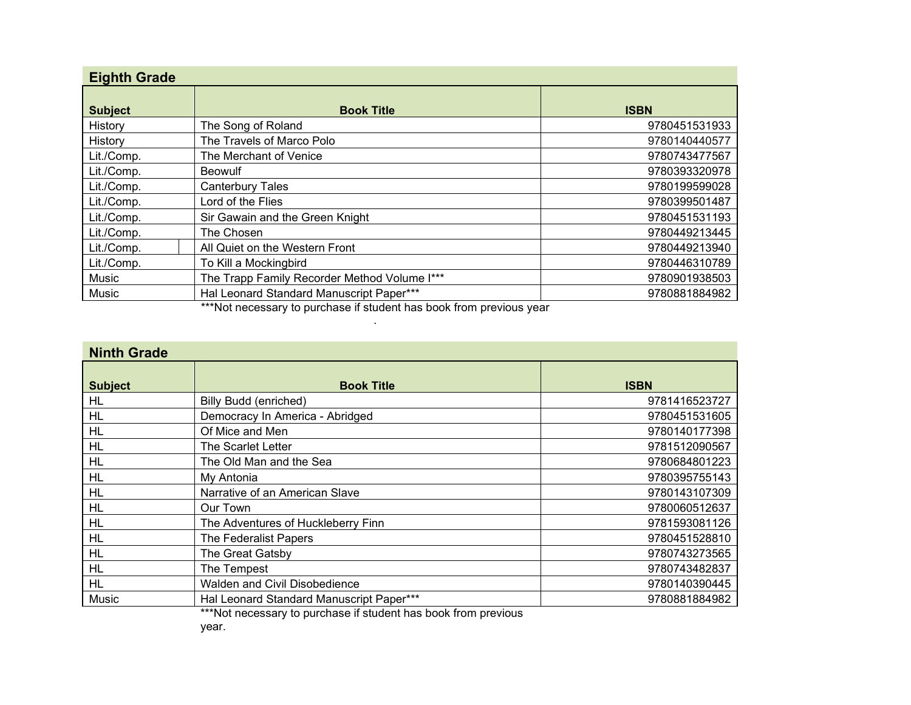| <b>Eighth Grade</b> |                                              |               |
|---------------------|----------------------------------------------|---------------|
| <b>Subject</b>      | <b>Book Title</b>                            | <b>ISBN</b>   |
| History             | The Song of Roland                           | 9780451531933 |
| History             | The Travels of Marco Polo                    | 9780140440577 |
| Lit./Comp.          | The Merchant of Venice                       | 9780743477567 |
| Lit./Comp.          | <b>Beowulf</b>                               | 9780393320978 |
| Lit./Comp.          | <b>Canterbury Tales</b>                      | 9780199599028 |
| Lit./Comp.          | Lord of the Flies                            | 9780399501487 |
| Lit./Comp.          | Sir Gawain and the Green Knight              | 9780451531193 |
| Lit./Comp.          | The Chosen                                   | 9780449213445 |
| Lit./Comp.          | All Quiet on the Western Front               | 9780449213940 |
| Lit./Comp.          | To Kill a Mockingbird                        | 9780446310789 |
| Music               | The Trapp Family Recorder Method Volume I*** | 9780901938503 |
| Music               | Hal Leonard Standard Manuscript Paper***     | 9780881884982 |

\*\*\*Not necessary to purchase if student has book from previous year .

| <b>Ninth Grade</b> |                                                           |               |
|--------------------|-----------------------------------------------------------|---------------|
| <b>Subject</b>     | <b>Book Title</b>                                         | <b>ISBN</b>   |
| HL                 | <b>Billy Budd (enriched)</b>                              | 9781416523727 |
| <b>HL</b>          | Democracy In America - Abridged                           | 9780451531605 |
| <b>HL</b>          | Of Mice and Men                                           | 9780140177398 |
| <b>HL</b>          | The Scarlet Letter                                        | 9781512090567 |
| <b>HL</b>          | The Old Man and the Sea                                   | 9780684801223 |
| HL                 | My Antonia                                                | 9780395755143 |
| <b>HL</b>          | Narrative of an American Slave                            | 9780143107309 |
| <b>HL</b>          | Our Town                                                  | 9780060512637 |
| <b>HL</b>          | The Adventures of Huckleberry Finn                        | 9781593081126 |
| <b>HL</b>          | <b>The Federalist Papers</b>                              | 9780451528810 |
| <b>HL</b>          | The Great Gatsby                                          | 9780743273565 |
| <b>HL</b>          | The Tempest                                               | 9780743482837 |
| <b>HL</b>          | Walden and Civil Disobedience                             | 9780140390445 |
| Music              | Hal Leonard Standard Manuscript Paper***<br>$\sim$ $\sim$ | 9780881884982 |

\*\*\*Not necessary to purchase if student has book from previous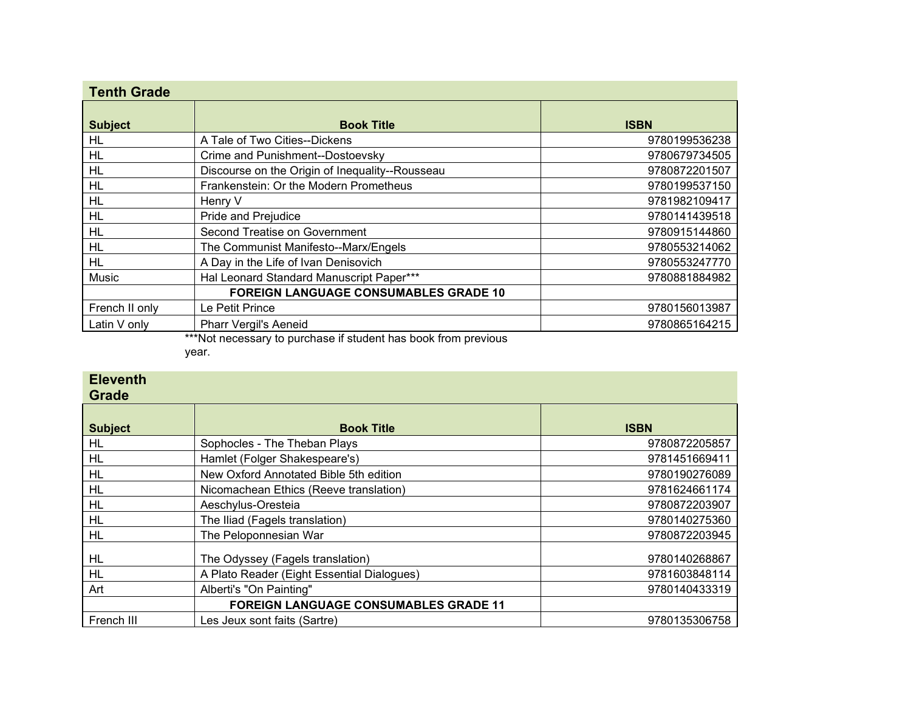| <b>Tenth Grade</b> |                                                 |               |
|--------------------|-------------------------------------------------|---------------|
| <b>Subject</b>     | <b>Book Title</b>                               | <b>ISBN</b>   |
| HL                 | A Tale of Two Cities--Dickens                   | 9780199536238 |
| <b>HL</b>          | Crime and Punishment--Dostoevsky                | 9780679734505 |
| <b>HL</b>          | Discourse on the Origin of Inequality--Rousseau | 9780872201507 |
| HL                 | Frankenstein: Or the Modern Prometheus          | 9780199537150 |
| HL                 | Henry V                                         | 9781982109417 |
| HL                 | Pride and Prejudice                             | 9780141439518 |
| <b>HL</b>          | Second Treatise on Government                   | 9780915144860 |
| HL                 | The Communist Manifesto--Marx/Engels            | 9780553214062 |
| HL                 | A Day in the Life of Ivan Denisovich            | 9780553247770 |
| Music              | Hal Leonard Standard Manuscript Paper***        | 9780881884982 |
|                    | <b>FOREIGN LANGUAGE CONSUMABLES GRADE 10</b>    |               |
| French II only     | Le Petit Prince                                 | 9780156013987 |
| Latin V only       | <b>Pharr Vergil's Aeneid</b>                    | 9780865164215 |

\*\*\*Not necessary to purchase if student has book from previous

year.

| <b>Eleventh</b><br><b>Grade</b> |                                              |               |
|---------------------------------|----------------------------------------------|---------------|
| <b>Subject</b>                  | <b>Book Title</b>                            | <b>ISBN</b>   |
| HL                              | Sophocles - The Theban Plays                 | 9780872205857 |
| HL                              | Hamlet (Folger Shakespeare's)                | 9781451669411 |
| HL                              | New Oxford Annotated Bible 5th edition       | 9780190276089 |
| HL                              | Nicomachean Ethics (Reeve translation)       | 9781624661174 |
| HL                              | Aeschylus-Oresteia                           | 9780872203907 |
| <b>HL</b>                       | The Iliad (Fagels translation)               | 9780140275360 |
| <b>HL</b>                       | The Peloponnesian War                        | 9780872203945 |
| HL                              | The Odyssey (Fagels translation)             | 9780140268867 |
| <b>HL</b>                       | A Plato Reader (Eight Essential Dialogues)   | 9781603848114 |
| Art                             | Alberti's "On Painting"                      | 9780140433319 |
|                                 | <b>FOREIGN LANGUAGE CONSUMABLES GRADE 11</b> |               |
| French III                      | Les Jeux sont faits (Sartre)                 | 9780135306758 |